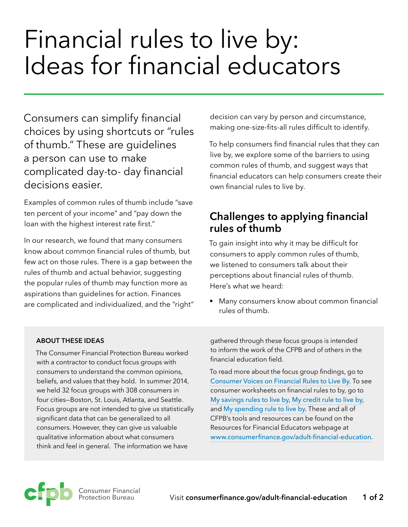## Financial rules to live by: Ideas for financial educators

Consumers can simplify financial choices by using shortcuts or "rules of thumb." These are guidelines a person can use to make complicated day-to- day financial decisions easier.

Examples of common rules of thumb include "save ten percent of your income" and "pay down the loan with the highest interest rate first."

In our research, we found that many consumers know about common financial rules of thumb, but few act on those rules. There is a gap between the rules of thumb and actual behavior, suggesting the popular rules of thumb may function more as aspirations than guidelines for action. Finances are complicated and individualized, and the "right" decision can vary by person and circumstance, making one-size-fits-all rules difficult to identify.

To help consumers find financial rules that they can live by, we explore some of the barriers to using common rules of thumb, and suggest ways that financial educators can help consumers create their own financial rules to live by.

## **Challenges to applying financial rules of thumb**

To gain insight into why it may be difficult for consumers to apply common rules of thumb, we listened to consumers talk about their perceptions about financial rules of thumb. Here's what we heard:

■ Many consumers know about common financial rules of thumb.

## **ABOUT THESE IDEAS**

The Consumer Financial Protection Bureau worked with a contractor to conduct focus groups with consumers to understand the common opinions, beliefs, and values that they hold. In summer 2014, we held 32 focus groups with 308 consumers in four cities—Boston, St. Louis, Atlanta, and Seattle. Focus groups are not intended to give us statistically significant data that can be generalized to all consumers. However, they can give us valuable qualitative information about what consumers think and feel in general. The information we have

gathered through these focus groups is intended to inform the work of the CFPB and of others in the financial education field.

To read more about the focus group findings, go to [Consumer Voices on Financial Rules to Live By](http://files.consumerfinance.gov/f/201603_cfpb_rules-to-live-by_consumer-voices-report.pdf). To see consumer worksheets on financial rules to by, go to [My savings rules to live by](http://files.consumerfinance.gov/f/201603_cfpb_rules-to-live-by_my-credit-rule-to-live-by.pdf), [My credit rule to live by](http://files.consumerfinance.gov/f/201603_cfpb_rules-to-live-by_my-savings-rule-to-live-by.pdf), and [My spending rule to live by](http://files.consumerfinance.gov/f/201603_cfpb_rules-to-live-by_my-spending-rule-to-live-by.pdf). These and all of CFPB's tools and resources can be found on the Resources for Financial Educators webpage at [www.consumerfinance.gov/adult-financial-education](http://www.consumerfinance.gov/adult-financial-education).